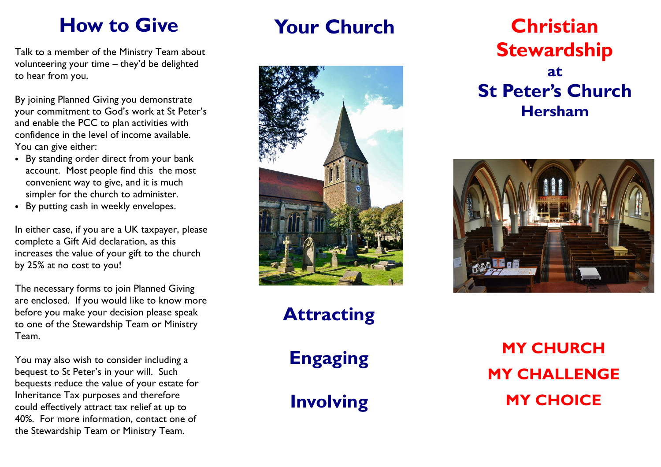## How to Give

Talk to a member of the Ministry Team about volunteering your time – they'd be delighted to hear from you.

By joining Planned Giving you demonstrate your commitment to God's work at St Peter's and enable the PCC to plan activities with confidence in the level of income available. You can give either:

- By standing order direct from your bank account. Most people find this the most convenient way to give, and it is much simpler for the church to administer.
- By putting cash in weekly envelopes.

In either case, if you are a UK taxpayer, please complete a Gift Aid declaration, as this increases the value of your gift to the church by 25% at no cost to you!

The necessary forms to join Planned Giving are enclosed. If you would like to know more before you make your decision please speak to one of the Stewardship Team or Ministry Team.

You may also wish to consider including a bequest to St Peter's in your will. Such bequests reduce the value of your estate for Inheritance Tax purposes and therefore could effectively attract tax relief at up to 40%. For more information, contact one of the Stewardship Team or Ministry Team.

#### Your Church



#### Attracting

Engaging

Involving

#### Christian **Stewardship** at St Peter's Church Hersham



MY CHURCH MY CHALLENGE MY CHOICE